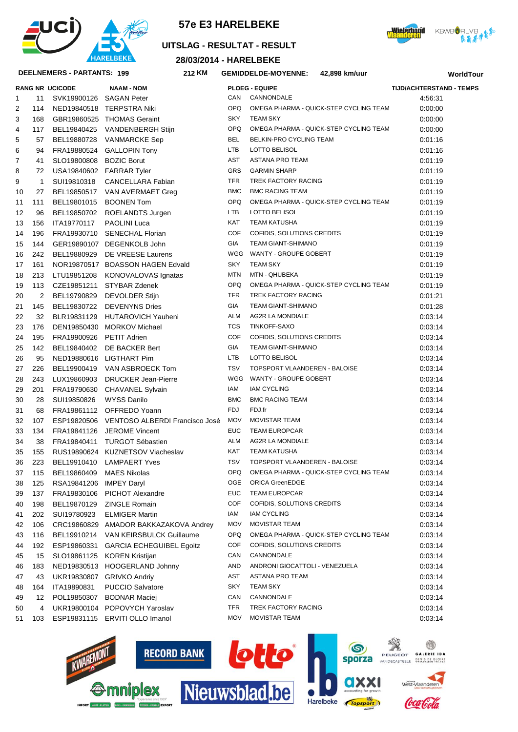





## **UITSLAG - RESULTAT - RESULT**

**28/03/2014 - HARELBEKE**

#### **DEELNEMERS - PARTANTS: 199 212**

|          |              | DEELNEMERS - PARTANTS: 199 | 212 KM                                                            |            | <b>GEMIDDELDE-MOYENNE:</b>     | 42,898 km/uur                          |                                 | WorldTour |
|----------|--------------|----------------------------|-------------------------------------------------------------------|------------|--------------------------------|----------------------------------------|---------------------------------|-----------|
|          |              | RANG NR UCICODE            | <b>NAAM - NOM</b>                                                 |            | <b>PLOEG - EQUIPE</b>          |                                        | <b>TIJD/ACHTERSTAND - TEMPS</b> |           |
| 1.       | 11           | SVK19900126 SAGAN Peter    |                                                                   | CAN        | CANNONDALE                     |                                        | 4:56:31                         |           |
| 2        | 114          |                            | NED19840518 TERPSTRA Niki                                         | OPQ        |                                | OMEGA PHARMA - QUICK-STEP CYCLING TEAM | 0:00:00                         |           |
| 3        | 168          |                            | GBR19860525 THOMAS Geraint                                        | <b>SKY</b> | <b>TEAM SKY</b>                |                                        | 0:00:00                         |           |
| 4        | 117          |                            | BEL19840425 VANDENBERGH Stijn                                     | OPQ        |                                | OMEGA PHARMA - QUICK-STEP CYCLING TEAM | 0:00:00                         |           |
| 5        | 57           | BEL19880728                | <b>VANMARCKE Sep</b>                                              | BEL        | BELKIN-PRO CYCLING TEAM        |                                        | 0:01:16                         |           |
| 6        | 94           |                            | FRA19880524 GALLOPIN Tony                                         | <b>LTB</b> | LOTTO BELISOL                  |                                        | 0:01:16                         |           |
| 7        | 41           | SLO19800808                | <b>BOZIC Borut</b>                                                | AST        | <b>ASTANA PRO TEAM</b>         |                                        | 0:01:19                         |           |
| 8        | 72           |                            | USA19840602 FARRAR Tyler                                          | GRS        | <b>GARMIN SHARP</b>            |                                        | 0:01:19                         |           |
| 9        | $\mathbf{1}$ | SUI19810318                | CANCELLARA Fabian                                                 | <b>TFR</b> | TREK FACTORY RACING            |                                        | 0:01:19                         |           |
| 10       | 27           |                            | BEL19850517 VAN AVERMAET Greg                                     | <b>BMC</b> | <b>BMC RACING TEAM</b>         |                                        | 0:01:19                         |           |
| 11       | 111          |                            | BEL19801015 BOONEN Tom                                            | OPQ        |                                | OMEGA PHARMA - QUICK-STEP CYCLING TEAM | 0:01:19                         |           |
| 12       | 96           |                            | BEL19850702 ROELANDTS Jurgen                                      | <b>LTB</b> | LOTTO BELISOL                  |                                        | 0:01:19                         |           |
| 13       | 156          | ITA19770117                | <b>PAOLINI Luca</b>                                               | KAT        | <b>TEAM KATUSHA</b>            |                                        | 0:01:19                         |           |
| 14       | 196          |                            | FRA19930710 SENECHAL Florian                                      | <b>COF</b> | COFIDIS, SOLUTIONS CREDITS     |                                        | 0:01:19                         |           |
| 15       | 144          |                            | GER19890107 DEGENKOLB John                                        | GIA        | <b>TEAM GIANT-SHIMANO</b>      |                                        | 0:01:19                         |           |
| 16       | 242          |                            | BEL19880929 DE VREESE Laurens                                     |            | WGG WANTY - GROUPE GOBERT      |                                        | 0:01:19                         |           |
| 17       | 161          |                            | NOR19870517 BOASSON HAGEN Edvald                                  | SKY        | <b>TEAM SKY</b>                |                                        | 0:01:19                         |           |
| 18       | 213          |                            | LTU19851208 KONOVALOVAS Ignatas                                   | <b>MTN</b> | MTN - QHUBEKA                  |                                        | 0:01:19                         |           |
| 19       | 113          |                            | CZE19851211 STYBAR Zdenek                                         | OPQ        |                                | OMEGA PHARMA - QUICK-STEP CYCLING TEAM | 0:01:19                         |           |
| 20       | 2            | BEL19790829                | <b>DEVOLDER Stijn</b>                                             | TFR        | TREK FACTORY RACING            |                                        | 0:01:21                         |           |
| 21       | 145          |                            | BEL19830722 DEVENYNS Dries                                        | <b>GIA</b> | TEAM GIANT-SHIMANO             |                                        | 0:01:28                         |           |
| 22       | 32           |                            | BLR19831129 HUTAROVICH Yauheni                                    | ALM        | AG2R LA MONDIALE               |                                        | 0:03:14                         |           |
| 23       | 176          |                            | DEN19850430 MORKOV Michael                                        | TCS        | TINKOFF-SAXO                   |                                        | 0:03:14                         |           |
| 24       | 195          | FRA19900926 PETIT Adrien   |                                                                   | <b>COF</b> | COFIDIS, SOLUTIONS CREDITS     |                                        | 0:03:14                         |           |
| 25       | 142          |                            | BEL19840402 DE BACKER Bert                                        | <b>GIA</b> | <b>TEAM GIANT-SHIMANO</b>      |                                        | 0:03:14                         |           |
| 26       | 95           |                            | NED19880616 LIGTHART Pim                                          | <b>LTB</b> | LOTTO BELISOL                  |                                        | 0:03:14                         |           |
| 27       | 226          |                            | BEL19900419 VAN ASBROECK Tom                                      | TSV        | TOPSPORT VLAANDEREN - BALOISE  |                                        | 0:03:14                         |           |
| 28       | 243          |                            | LUX19860903 DRUCKER Jean-Pierre                                   | WGG        | WANTY - GROUPE GOBERT          |                                        | 0:03:14                         |           |
| 29       | 201          |                            | FRA19790630 CHAVANEL Sylvain                                      | IAM        | <b>IAM CYCLING</b>             |                                        | 0:03:14                         |           |
| 30       | 28           | SUI19850826                | WYSS Danilo                                                       | <b>BMC</b> | <b>BMC RACING TEAM</b>         |                                        | 0:03:14                         |           |
| 31       | 68           |                            | FRA19861112 OFFREDO Yoann                                         | <b>FDJ</b> | FDJ.fr                         |                                        | 0:03:14                         |           |
| 32       | 107          |                            | ESP19820506 VENTOSO ALBERDI Francisco José                        | <b>MOV</b> | MOVISTAR TEAM                  |                                        | 0:03:14                         |           |
|          | 134          |                            | FRA19841126 JEROME Vincent                                        | <b>EUC</b> | <b>TEAM EUROPCAR</b>           |                                        |                                 |           |
| 33<br>34 | 38           |                            | FRA19840411 TURGOT Sébastien                                      | ALM        | AG2R LA MONDIALE               |                                        | 0:03:14<br>0.03.14              |           |
| 35       | 155          |                            | RUS19890624 KUZNETSOV Viacheslav                                  | <b>KAT</b> | <b>TEAM KATUSHA</b>            |                                        |                                 |           |
|          |              |                            |                                                                   | TSV        | TOPSPORT VLAANDEREN - BALOISE  |                                        | 0:03:14<br>0.03.14              |           |
| 36       | 223          | BEL19910410                | <b>LAMPAERT Yves</b>                                              | <b>OPQ</b> |                                | OMEGA PHARMA - QUICK-STEP CYCLING TEAM | 0.03.14                         |           |
| 37       | 115          | BEL19860409                | MAES Nikolas                                                      | OGE        | <b>ORICA GreenEDGE</b>         |                                        |                                 |           |
| 38       | 125          | RSA19841206                | <b>IMPEY Daryl</b>                                                | <b>EUC</b> | <b>TEAM EUROPCAR</b>           |                                        | 0:03:14                         |           |
| 39       | 137          | FRA19830106                | <b>PICHOT Alexandre</b>                                           | COF        | COFIDIS, SOLUTIONS CREDITS     |                                        | 0:03:14                         |           |
| 40       | 198          | BEL19870129                | <b>ZINGLE Romain</b>                                              | IAM        | <b>IAM CYCLING</b>             |                                        | 0.03.14<br>0.03.14              |           |
| 41       | 202          | SUI19780923                | <b>ELMIGER Martin</b>                                             | <b>MOV</b> | <b>MOVISTAR TEAM</b>           |                                        | 0.03.14                         |           |
| 42       | 106          |                            | CRC19860829 AMADOR BAKKAZAKOVA Andrey<br>VAN KEIRSBULCK Guillaume | <b>OPQ</b> |                                | OMEGA PHARMA - QUICK-STEP CYCLING TEAM |                                 |           |
| 43       | 116          | BEL19910214                |                                                                   | COF        | COFIDIS, SOLUTIONS CREDITS     |                                        | 0.03.14                         |           |
| 44       | 192          |                            | ESP19860331 GARCIA ECHEGUIBEL Egoitz                              |            |                                |                                        | 0.03.14                         |           |
| 45       | 15           |                            | SLO19861125 KOREN Kristijan                                       | CAN        | CANNONDALE                     |                                        | 0.03.14                         |           |
| 46       | 183          |                            | NED19830513 HOOGERLAND Johnny                                     | AND        | ANDRONI GIOCATTOLI - VENEZUELA |                                        | 0.03.14                         |           |
| 47       | 43           |                            | UKR19830807 GRIVKO Andriy                                         | AST        | ASTANA PRO TEAM                |                                        | 0.03.14                         |           |
| 48       | 164          | ITA19890831                | <b>PUCCIO Salvatore</b>                                           | SKY        | <b>TEAM SKY</b>                |                                        | 0.03.14                         |           |
| 49       | 12           | POL19850307                | <b>BODNAR Maciej</b>                                              | CAN        | CANNONDALE                     |                                        | 0.03.14                         |           |
| 50       | 4            |                            | UKR19800104 POPOVYCH Yaroslav                                     | TFR        | TREK FACTORY RACING            |                                        | 0.03.14                         |           |
| 51       | 103          |                            | ESP19831115 ERVITI OLLO Imanol                                    | <b>MOV</b> | <b>MOVISTAR TEAM</b>           |                                        | 0.03.14                         |           |
|          |              |                            |                                                                   |            |                                |                                        |                                 |           |





N

 $\circledcirc$ 

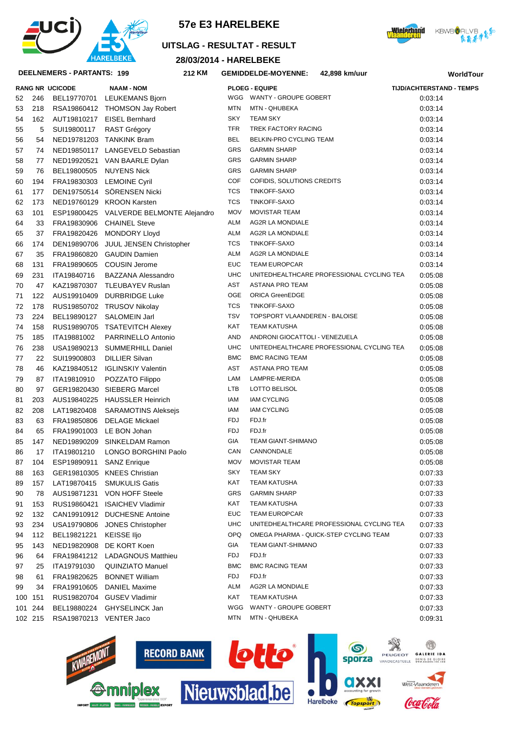





**WorldTour**

#### **UITSLAG - RESULTAT - RESULT**

**28/03/2014 - HARELBEKE**

**KM GEMIDDELDE-MOYENNE: 42,898 km/uur**

#### **DEELNEMERS - PARTANTS: 199 212**

|     |         | <b>RANG NR UCICODE</b> | <b>NAAM - NOM</b>          |
|-----|---------|------------------------|----------------------------|
| 52  | 246     | BEL19770701            | LEUKEMANS Bjorn            |
| 53  | 218     | RSA19860412            | <b>THOMSON Jay Robert</b>  |
| 54  | 162     | AUT19810217            | <b>EISEL Bernhard</b>      |
| 55  | 5       | SUI19800117            | RAST Grégory               |
| 56  | 54      | NED19781203            | <b>TANKINK Bram</b>        |
| 57  | 74      | NED19850117            | LANGEVELD Sebastian        |
| 58  | 77      | NED19920521            | VAN BAARLE Dylan           |
| 59  | 76      | BEL19800505            | <b>NUYENS Nick</b>         |
| 60  | 194     | FRA19830303            | <b>LEMOINE Cyril</b>       |
| 61  | 177     | DEN19750514            | SÖRENSEN Nicki             |
| 62  | 173     | NED19760129            | <b>KROON Karsten</b>       |
| 63  | 101     | ESP19800425            | VALVERDE BELMONTE Alejan   |
| 64  | 33      | FRA19830906            | <b>CHAINEL Steve</b>       |
| 65  | 37      | FRA19820426            | MONDORY Lloyd              |
| 66  | 174     | DEN19890706            | JUUL JENSEN Christopher    |
| 67  | 35      | FRA19860820            | <b>GAUDIN Damien</b>       |
| 68  | 131     | FRA19890605            | <b>COUSIN Jerome</b>       |
| 69  | 231     | ITA19840716            | <b>BAZZANA Alessandro</b>  |
| 70  | 47      | KAZ19870307            | <b>TLEUBAYEV Ruslan</b>    |
| 71  | 122     | AUS19910409            | <b>DURBRIDGE Luke</b>      |
| 72  | 178     | RUS19850702            | <b>TRUSOV Nikolay</b>      |
| 73  | 224     | BEL19890127            | SALOMEIN Jarl              |
| 74  | 158     | RUS19890705            | <b>TSATEVITCH Alexey</b>   |
| 75  | 185     | ITA19881002            | <b>PARRINELLO Antonio</b>  |
| 76  | 238     | USA19890213            | SUMMERHILL Daniel          |
| 77  | 22      | SUI19900803            | <b>DILLIER Silvan</b>      |
| 78  | 46      | KAZ19840512            | <b>IGLINSKIY Valentin</b>  |
| 79  | 87      | ITA19810910            | POZZATO Filippo            |
| 80  | 97      | GER19820430            | SIEBERG Marcel             |
| 81  | 203     | AUS19840225            | <b>HAUSSLER Heinrich</b>   |
| 82  | 208     | LAT19820408            | <b>SARAMOTINS Aleksejs</b> |
| 83  | 63      | FRA19850806            | <b>DELAGE Mickael</b>      |
| 84  | 65      | FRA19901003            | LE BON Johan               |
| 85  | 147     | NED19890209            | SINKELDAM Ramon            |
| 86  | 17      | ITA19801210            | LONGO BORGHINI Paolo       |
| 87  | 104     | ESP19890911            | <b>SANZ Enrique</b>        |
| 88  | 163     | GER19810305            | <b>KNEES Christian</b>     |
| 89  | 157     | LAT19870415            | <b>SMUKULIS Gatis</b>      |
| 90  | 78      | AUS19871231            | <b>VON HOFF Steele</b>     |
| 91  | 153     | RUS19860421            | <b>ISAICHEV Vladimir</b>   |
| 92  | 132     | CAN19910912            | <b>DUCHESNE Antoine</b>    |
| 93  | 234     | USA19790806            | <b>JONES Christopher</b>   |
| 94  | 112     | BEL19821221            | <b>KEISSE Iljo</b>         |
| 95  | 143     | NED19820908            | DE KORT Koen               |
| 96  | 64      | FRA19841212            | <b>LADAGNOUS Matthieu</b>  |
| 97  | 25      | ITA19791030            | <b>QUINZIATO Manuel</b>    |
| 98  | 61      | FRA19820625            | <b>BONNET William</b>      |
| 99  | 34      | FRA19910605            | <b>DANIEL Maxime</b>       |
| 100 | 151     | RUS19820704            | <b>GUSEV Vladimir</b>      |
| 101 | 244     | BEL19880224            | GHYSELINCK Jan             |
|     | 102 215 | RSA19870213            | <b>VENTER Jaco</b>         |
|     |         |                        |                            |

|    |         | <b>RANG NR UCICODE</b>  | <b>NAAM - NOM</b>                       |            | <b>PLOEG - EQUIPE</b>                     | <b>TIJD/ACHTERSTAND - TEMPS</b> |
|----|---------|-------------------------|-----------------------------------------|------------|-------------------------------------------|---------------------------------|
| 52 | 246     | BEL19770701             | LEUKEMANS Bjorn                         |            | WGG WANTY - GROUPE GOBERT                 | 0:03:14                         |
| 53 | 218     |                         | RSA19860412 THOMSON Jay Robert          | <b>MTN</b> | MTN - QHUBEKA                             | 0:03:14                         |
| 54 | 162     |                         | AUT19810217 EISEL Bernhard              | <b>SKY</b> | <b>TEAM SKY</b>                           | 0:03:14                         |
| 55 | 5       | SUI19800117             | <b>RAST Grégory</b>                     | <b>TFR</b> | TREK FACTORY RACING                       | 0:03:14                         |
| 56 | 54      |                         | NED19781203 TANKINK Bram                | <b>BEL</b> | BELKIN-PRO CYCLING TEAM                   | 0:03:14                         |
| 57 | 74      |                         | NED19850117 LANGEVELD Sebastian         | GRS        | <b>GARMIN SHARP</b>                       | 0:03:14                         |
| 58 | 77      |                         | NED19920521 VAN BAARLE Dylan            | GRS        | <b>GARMIN SHARP</b>                       | 0:03:14                         |
| 59 | 76      | BEL19800505             | <b>NUYENS Nick</b>                      | GRS        | <b>GARMIN SHARP</b>                       | 0:03:14                         |
| 60 | 194     |                         | FRA19830303 LEMOINE Cyril               | COF        | COFIDIS, SOLUTIONS CREDITS                | 0:03:14                         |
| 61 | 177     |                         | DEN19750514 SÖRENSEN Nicki              | TCS        | TINKOFF-SAXO                              | 0:03:14                         |
| 62 | 173     |                         | NED19760129 KROON Karsten               | <b>TCS</b> | TINKOFF-SAXO                              | 0:03:14                         |
| 63 | 101     |                         | ESP19800425 VALVERDE BELMONTE Alejandro | <b>MOV</b> | <b>MOVISTAR TEAM</b>                      | 0:03:14                         |
| 64 | 33      |                         | FRA19830906 CHAINEL Steve               | <b>ALM</b> | AG2R LA MONDIALE                          | 0:03:14                         |
| 65 | 37      |                         | FRA19820426 MONDORY Lloyd               | <b>ALM</b> | AG2R LA MONDIALE                          | 0:03:14                         |
| 66 | 174     |                         | DEN19890706 JUUL JENSEN Christopher     | <b>TCS</b> | TINKOFF-SAXO                              | 0:03:14                         |
| 67 | 35      |                         | FRA19860820 GAUDIN Damien               | <b>ALM</b> | AG2R LA MONDIALE                          | 0:03:14                         |
| 68 | 131     |                         | FRA19890605 COUSIN Jerome               | <b>EUC</b> | <b>TEAM EUROPCAR</b>                      | 0:03:14                         |
| 69 | 231     | ITA19840716             | <b>BAZZANA Alessandro</b>               | <b>UHC</b> | UNITEDHEALTHCARE PROFESSIONAL CYCLING TEA | 0:05:08                         |
| 70 | 47      |                         | KAZ19870307 TLEUBAYEV Ruslan            | AST        | <b>ASTANA PRO TEAM</b>                    | 0:05:08                         |
| 71 | 122     |                         | AUS19910409 DURBRIDGE Luke              | <b>OGE</b> | <b>ORICA GreenEDGE</b>                    | 0:05:08                         |
| 72 | 178     |                         | RUS19850702 TRUSOV Nikolay              | <b>TCS</b> | TINKOFF-SAXO                              | 0:05:08                         |
| 73 | 224     | BEL19890127             | <b>SALOMEIN Jarl</b>                    | <b>TSV</b> | TOPSPORT VLAANDEREN - BALOISE             | 0:05:08                         |
| 74 | 158     |                         | RUS19890705 TSATEVITCH Alexey           | <b>KAT</b> | <b>TEAM KATUSHA</b>                       | 0:05:08                         |
| 75 | 185     | ITA19881002             | PARRINELLO Antonio                      | <b>AND</b> | ANDRONI GIOCATTOLI - VENEZUELA            | 0:05:08                         |
| 76 | 238     |                         | USA19890213 SUMMERHILL Daniel           | <b>UHC</b> | UNITEDHEALTHCARE PROFESSIONAL CYCLING TEA | 0:05:08                         |
| 77 | 22      | SUI19900803             | <b>DILLIER Silvan</b>                   | <b>BMC</b> | <b>BMC RACING TEAM</b>                    | 0.05.08                         |
| 78 | 46      |                         | KAZ19840512 IGLINSKIY Valentin          | AST        | ASTANA PRO TEAM                           | 0.05.08                         |
| 79 | 87      | ITA19810910             | POZZATO Filippo                         | LAM        | LAMPRE-MERIDA                             | 0.05.08                         |
| 80 | 97      |                         | GER19820430 SIEBERG Marcel              | <b>LTB</b> | LOTTO BELISOL                             | 0.05.08                         |
| 81 | 203     |                         | AUS19840225 HAUSSLER Heinrich           | IAM        | <b>IAM CYCLING</b>                        | 0.05.08                         |
| 82 | 208     | LAT19820408             | <b>SARAMOTINS Aleksejs</b>              | IAM        | <b>IAM CYCLING</b>                        | 0:05:08                         |
| 83 | 63      | FRA19850806             | <b>DELAGE Mickael</b>                   | <b>FDJ</b> | FDJ.fr                                    | 0:05:08                         |
| 84 | 65      | FRA19901003             | LE BON Johan                            | <b>FDJ</b> | FDJ.fr                                    | 0:05:08                         |
| 85 | 147     |                         | NED19890209 SINKELDAM Ramon             | GIA        | <b>TEAM GIANT-SHIMANO</b>                 | 0:05:08                         |
| 86 | 17      | ITA19801210             | LONGO BORGHINI Paolo                    | CAN        | CANNONDALE                                | 0.05.08                         |
| 87 | 104     | ESP19890911             | <b>SANZ Enrique</b>                     | <b>MOV</b> | <b>MOVISTAR TEAM</b>                      | 0:05:08                         |
| 88 | 163     |                         | GER19810305 KNEES Christian             | SKY        | TEAM SKY                                  | 0:07:33                         |
| 89 | 157     | LAT19870415             | <b>SMUKULIS Gatis</b>                   | KAT        | TEAM KATUSHA                              | 0:07:33                         |
| 90 | 78      |                         | AUS19871231 VON HOFF Steele             | GRS        | <b>GARMIN SHARP</b>                       | 0:07:33                         |
| 91 | 153     | RUS19860421             | <b>ISAICHEV Vladimir</b>                | KAT        | TEAM KATUSHA                              | 0:07:33                         |
| 92 | 132     |                         | CAN19910912 DUCHESNE Antoine            | EUC        | <b>TEAM EUROPCAR</b>                      | 0:07:33                         |
| 93 | 234     | USA19790806             | <b>JONES Christopher</b>                | <b>UHC</b> | UNITEDHEALTHCARE PROFESSIONAL CYCLING TEA | 0:07:33                         |
| 94 | 112     | BEL19821221             | KEISSE IIjo                             | OPQ        | OMEGA PHARMA - QUICK-STEP CYCLING TEAM    | 0:07:33                         |
| 95 | 143     |                         | NED19820908 DE KORT Koen                | GIA        | TEAM GIANT-SHIMANO                        | 0:07:33                         |
| 96 | 64      |                         | FRA19841212 LADAGNOUS Matthieu          | FDJ        | FDJ.fr                                    | 0:07:33                         |
| 97 | 25      | ITA19791030             | QUINZIATO Manuel                        | <b>BMC</b> | <b>BMC RACING TEAM</b>                    | 0:07:33                         |
| 98 | 61      | FRA19820625             | <b>BONNET William</b>                   | FDJ        | FDJ.fr                                    | 0:07:33                         |
| 99 | 34      | FRA19910605             | DANIEL Maxime                           | ALM        | AG2R LA MONDIALE                          | 0:07:33                         |
|    | 100 151 |                         | RUS19820704 GUSEV Vladimir              | KAT        | TEAM KATUSHA                              | 0:07:33                         |
|    | 101 244 | BEL19880224             | GHYSELINCK Jan                          | WGG        | WANTY - GROUPE GOBERT                     | 0:07:33                         |
|    | 102 215 | RSA19870213 VENTER Jaco |                                         | MTN        | MTN - QHUBEKA                             | 0:09:31                         |
|    |         |                         |                                         |            |                                           |                                 |





PEUGEOT

(fi)

GALERIE IDA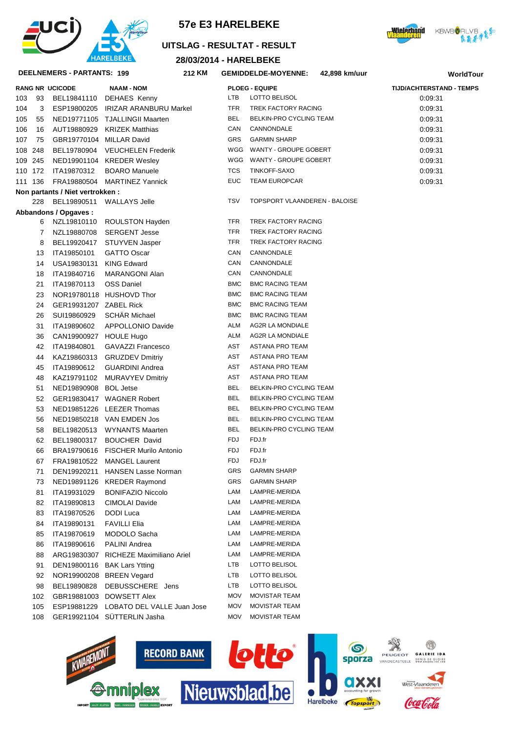

## **28/03/2014 - HARELBEKE UITSLAG - RESULTAT - RESULT**

**KM GEMIDDELDE-MOYENNE: 42,898 km/uur**





#### **DEELNEMERS - PARTANTS: 199 212**

|         |     | <b>RANG NR UCICODE</b>          | <b>NAAM - NOM</b>                      |            | <b>PLOEG - EQUIPE</b>         | <b>TIJD/ACHTERSTAND - TEMPS</b> |
|---------|-----|---------------------------------|----------------------------------------|------------|-------------------------------|---------------------------------|
| 103     | 93  |                                 | BEL19841110 DEHAES Kenny               | LTB        | LOTTO BELISOL                 | 0.09.31                         |
| 104     | 3   |                                 | ESP19800205 IRIZAR ARANBURU Markel     | TFR        | TREK FACTORY RACING           | 0:09:31                         |
| 105     | 55  |                                 | NED19771105 TJALLINGII Maarten         | BEL        | BELKIN-PRO CYCLING TEAM       | 0:09:31                         |
| 106     | 16  |                                 | AUT19880929 KRIZEK Matthias            | CAN        | CANNONDALE                    | 0.09.31                         |
| 107     | 75  | GBR19770104 MILLAR David        |                                        | <b>GRS</b> | <b>GARMIN SHARP</b>           | 0:09:31                         |
| 108 248 |     |                                 | BEL19780904 VEUCHELEN Frederik         |            | WGG WANTY - GROUPE GOBERT     | 0:09:31                         |
| 109 245 |     |                                 | NED19901104 KREDER Wesley              |            | WGG WANTY - GROUPE GOBERT     | 0:09:31                         |
| 110 172 |     | ITA19870312                     | <b>BOARO</b> Manuele                   | <b>TCS</b> | TINKOFF-SAXO                  | 0:09:31                         |
| 111 136 |     |                                 | FRA19880504 MARTINEZ Yannick           | <b>EUC</b> | <b>TEAM EUROPCAR</b>          | 0:09:31                         |
|         |     | Non partants / Niet vertrokken: |                                        |            |                               |                                 |
|         | 228 |                                 | BEL19890511 WALLAYS Jelle              | <b>TSV</b> | TOPSPORT VLAANDEREN - BALOISE |                                 |
|         |     | Abbandons / Opgaves:            |                                        |            |                               |                                 |
|         | 6   |                                 | NZL19810110 ROULSTON Hayden            | <b>TFR</b> | TREK FACTORY RACING           |                                 |
|         | 7   |                                 | NZL19880708 SERGENT Jesse              | TFR        | TREK FACTORY RACING           |                                 |
|         | 8   |                                 | BEL19920417 STUYVEN Jasper             | TFR        | TREK FACTORY RACING           |                                 |
|         | 13  | ITA19850101                     | <b>GATTO Oscar</b>                     | CAN        | CANNONDALE                    |                                 |
|         | 14  | USA19830131                     | <b>KING Edward</b>                     | CAN        | CANNONDALE                    |                                 |
|         | 18  | ITA19840716                     | MARANGONI Alan                         | CAN        | CANNONDALE                    |                                 |
|         | 21  | ITA19870113                     | <b>OSS Daniel</b>                      | <b>BMC</b> | <b>BMC RACING TEAM</b>        |                                 |
|         | 23  |                                 | NOR19780118 HUSHOVD Thor               | <b>BMC</b> | <b>BMC RACING TEAM</b>        |                                 |
|         | 24  | GER19931207 ZABEL Rick          |                                        | <b>BMC</b> | <b>BMC RACING TEAM</b>        |                                 |
|         | 26  | SUI19860929                     | <b>SCHAR Michael</b>                   | <b>BMC</b> | <b>BMC RACING TEAM</b>        |                                 |
|         | 31  | ITA19890602                     | APPOLLONIO Davide                      | ALM        | <b>AG2R LA MONDIALE</b>       |                                 |
|         | 36  | CAN19900927 HOULE Hugo          |                                        | ALM        | AG2R LA MONDIALE              |                                 |
|         | 42  | ITA19840801                     | <b>GAVAZZI Francesco</b>               | AST        | ASTANA PRO TEAM               |                                 |
|         | 44  |                                 | KAZ19860313 GRUZDEV Dmitriy            | AST        | ASTANA PRO TEAM               |                                 |
|         | 45  | ITA19890612                     | <b>GUARDINI Andrea</b>                 | AST        | ASTANA PRO TEAM               |                                 |
|         | 48  |                                 | KAZ19791102 MURAVYEV Dmitriy           | AST        | ASTANA PRO TEAM               |                                 |
|         | 51  | NED19890908 BOL Jetse           |                                        | BEL        | BELKIN-PRO CYCLING TEAM       |                                 |
|         | 52  |                                 | GER19830417 WAGNER Robert              | BEL        | BELKIN-PRO CYCLING TEAM       |                                 |
|         | 53  |                                 | NED19851226 LEEZER Thomas              | BEL        | BELKIN-PRO CYCLING TEAM       |                                 |
|         | 56  |                                 | NED19850218 VAN EMDEN Jos              | BEL        | BELKIN-PRO CYCLING TEAM       |                                 |
|         | 58  |                                 | BEL19820513 WYNANTS Maarten            | BEL        | BELKIN-PRO CYCLING TEAM       |                                 |
|         | 62  |                                 | BEL19800317 BOUCHER David              | FDJ        | FDJ.fr                        |                                 |
|         | 66  |                                 | BRA19790616 FISCHER Murilo Antonio     | <b>FDJ</b> | FDJ.fr                        |                                 |
|         | 67  |                                 | FRA19810522 MANGEL Laurent             | FDJ        | FDJ.fr                        |                                 |
|         | 71  |                                 | DEN19920211 HANSEN Lasse Norman        | GRS        | <b>GARMIN SHARP</b>           |                                 |
|         | 73  |                                 | NED19891126 KREDER Raymond             | GRS        | <b>GARMIN SHARP</b>           |                                 |
|         | 81  | ITA19931029                     | <b>BONIFAZIO Niccolo</b>               | LAM        | LAMPRE-MERIDA                 |                                 |
|         | 82  | ITA19890813                     | <b>CIMOLAI Davide</b>                  | LAM        | LAMPRE-MERIDA                 |                                 |
|         | 83  | ITA19870526                     | DODI Luca                              | LAM        | LAMPRE-MERIDA                 |                                 |
|         | 84  | ITA19890131                     | <b>FAVILLI Elia</b>                    | LAM        | LAMPRE-MERIDA                 |                                 |
|         | 85  | ITA19870619                     | MODOLO Sacha                           | LAM        | LAMPRE-MERIDA                 |                                 |
|         | 86  | ITA19890616                     | PALINI Andrea                          | LAM        | LAMPRE-MERIDA                 |                                 |
|         | 88  |                                 | ARG19830307 RICHEZE Maximiliano Ariel  | LAM        | LAMPRE-MERIDA                 |                                 |
|         | 91  |                                 | DEN19800116 BAK Lars Ytting            | LTB        | LOTTO BELISOL                 |                                 |
|         | 92  |                                 | NOR19900208 BREEN Vegard               | LTB        | LOTTO BELISOL                 |                                 |
|         | 98  | BEL19890828                     | DEBUSSCHERE Jens                       | <b>LTB</b> | LOTTO BELISOL                 |                                 |
|         | 102 |                                 | GBR19881003 DOWSETT Alex               | <b>MOV</b> | <b>MOVISTAR TEAM</b>          |                                 |
|         | 105 |                                 | ESP19881229 LOBATO DEL VALLE Juan Jose | <b>MOV</b> | <b>MOVISTAR TEAM</b>          |                                 |
|         | 108 |                                 | GER19921104 SÜTTERLIN Jasha            | <b>MOV</b> | <b>MOVISTAR TEAM</b>          |                                 |
|         |     |                                 |                                        |            |                               |                                 |

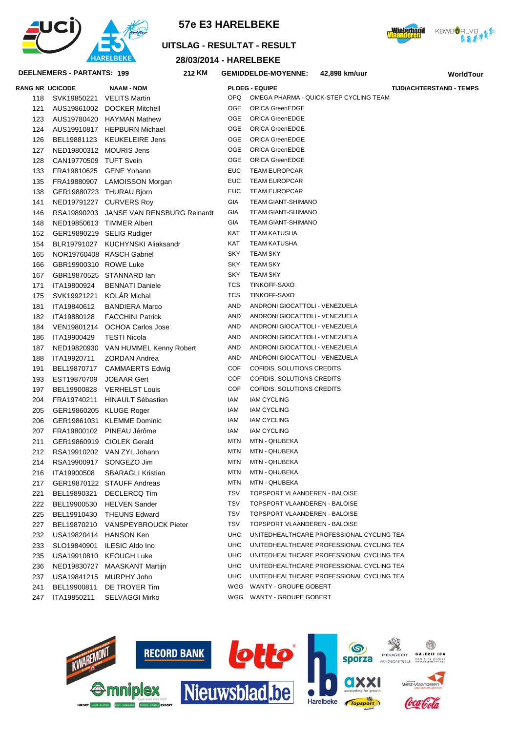







#### 28/03/2014 - HARELBEKE **DEELNEMERS - PARTANTS: 199** 212 KM **GEMIDDELDE-MOYENNE:** 42.898 km/uur **WorldTour RANG NR UCICODE NAAM - NOM PLOEG - EQUIPE TIJD/ACHTERSTAND - TEMPS** OPQ OMEGA PHARMA - QUICK-STEP CYCLING TEAM 118 SVK19850221 VELITS Martin  $OGE$ ORICA GreenEDGE 121 AUS19861002 DOCKER Mitchell OGE ORICA GreenEDGE 123 AUS19780420 HAYMAN Mathew OGE ORICA GreenEDGE 124 AUS19910817 HEPBURN Michael 126 BEL19881123 KEUKELEIRE Jens OGE ORICA GreenEDGE OGE ORICA GreenEDGE NED19800312 MOURIS Jens 127 ORICA GreenEDGE 128 CAN19770509 TUFT Svein  $\cap$ GE **EUC TEAM EUROPCAR**  $133$ FRA19810625 GENE Yohann FUC. **TEAM EUROPCAR** 135 FRA19880907 | AMOISSON Morgan GER19880723 THURAU Bjorn FUC. TEAM FUROPCAR 138 NED19791227 CURVERS Roy GIA **TEAM GIANT-SHIMANO** 141 146 RSA19890203 JANSE VAN RENSBURG Reinardt GIA **TEAM GIANT-SHIMANO TEAM GIANT-SHIMANO** NED19850613 TIMMER Albert GIA 148 **TEAM KATUSHA** 152 GER19890219 SELIG Rudiger KAT 154 BLR19791027 KUCHYNSKI Aliaksandr **KAT TEAM KATUSHA** NOR19760408 RASCH Gabriel **SKY TEAM SKY** 165 **SKY TEAM SKY** GBR19900310 ROWE Luke  $166$ **TEAM SKY** 167 GBR19870525 STANNARD lan SKY **TCS** TINKOFF-SAXO 171 ITA19800924 RENNATI Daniele 175 SVK19921221 KOLÁR Michal **TCS** TINKOFF-SAXO ITA19840612 BANDIERA Marco ANDRONI GIOCATTOLL - VENEZUELA **AND** 181 182 ITA19880128 FACCHINI Patrick **AND** ANDRONI GIOCATTOLI - VENEZUELA 184 VEN19801214 OCHOA Carlos Jose **AND** ANDRONI GIOCATTOLI - VENEZUELA ANDRONI GIOCATTOLI - VENEZUELA ITA19900429 TESTI Nicola **AND** 186 ANDRONI GIOCATTOLI - VENEZUELA **AND** 187 NED19820930 VAN HUMMEL Kenny Robert AND ANDRONI GIOCATTOLL - VENEZUELA 188 ITA19920711 ZORDAN Andrea COF COFIDIS, SOLUTIONS CREDITS BEL19870717 CAMMAERTS Edwig 191 COF COFIDIS SOLUTIONS CREDITS EST19870709 JOEAAR Gert 193 COFIDIS, SOLUTIONS CREDITS COF 197 BEL19900828 VERHELST Louis 204 FRA19740211 HINAULT Sébastien **IAM JAM CYCLING** 205 GER19860205 KLUGE Roger **IAM IAM CYCLING IAM IAM CYCLING** 206 GER19861031 KLEMME Dominic **JAM CYCLING**  $207$ FRA19800102 PINEAU Jérôme **IAM** GER19860919 CIOLEK Gerald **MTN** MTN - OHUBEKA 211 212 RSA19910202 VAN ZYL Johann **MTN** MTN - OHUBEKA RSA19900917 SONGEZO Jim MTN - QHUBEKA 214 **MTN MTN** MTN - OHUBEKA 216 ITA19900508 SBARAGLI Kristian GER19870122 STAUFF Andreas **MTN** MTN - OHUBEKA 217 BEL19890321 DECLERCO Tim **TSV** TOPSPORT VLAANDEREN - BALOISE 221 **TOPSPORT VLAANDEREN - BALOISE TSV**  $222$ BEL19900530 HELVEN Sander 225 BEL19910430 THEUNS Edward **TSV TOPSPORT VLAANDEREN - BALOISE** TOPSPORT VLAANDEREN - BALOISE 227 BEL19870210 VANSPEYBROUCK Pieter **TSV** USA19820414 HANSON Ken **UHC** UNITEDHEALTHCARE PROFESSIONAL CYCLING TEA 232 SLO19840901 ILESIC Aldo Ino **UHC** UNITEDHEALTHCARE PROFESSIONAL CYCLING TEA 233 USA19910810 KEOUGH Luke **UHC** UNITEDHEALTHCARE PROFESSIONAL CYCLING TEA 235 236 NED19830727 MAASKANT Martijn **UHC** UNITEDHEALTHCARE PROFESSIONAL CYCLING TEA USA19841215 MURPHY John **UHC** UNITEDHEALTHCARE PROFESSIONAL CYCLING TEA 237 WGG WANTY - GROUPE GOBERT 241 BEL19900811 DE TROYER Tim WGG WANTY - GROUPE GOBERT 247 ITA19850211 SFI VAGGI Mirko